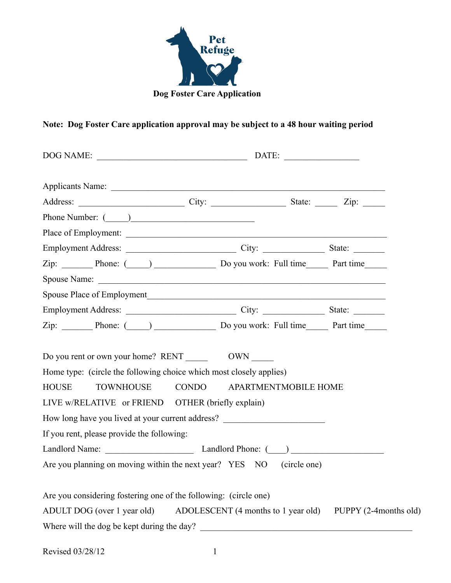

## **Note: Dog Foster Care application approval may be subject to a 48 hour waiting period**

| Zip: Phone: (Comparison Do you work: Full time Part time                                                                                                                                                                                                                                                                                                          |                      |  |  |  |  |
|-------------------------------------------------------------------------------------------------------------------------------------------------------------------------------------------------------------------------------------------------------------------------------------------------------------------------------------------------------------------|----------------------|--|--|--|--|
|                                                                                                                                                                                                                                                                                                                                                                   |                      |  |  |  |  |
|                                                                                                                                                                                                                                                                                                                                                                   |                      |  |  |  |  |
|                                                                                                                                                                                                                                                                                                                                                                   |                      |  |  |  |  |
| Zip: Phone: (2010) Do you work: Full time Part time                                                                                                                                                                                                                                                                                                               |                      |  |  |  |  |
| Do you rent or own your home? RENT OWN<br>Home type: (circle the following choice which most closely applies)<br><b>CONDO</b><br><b>HOUSE</b><br><b>TOWNHOUSE</b><br>LIVE w/RELATIVE or FRIEND OTHER (briefly explain)<br>How long have you lived at your current address?<br>If you rent, please provide the following:<br>Landlord Name: Landlord Phone: (2012) | APARTMENTMOBILE HOME |  |  |  |  |
| Are you planning on moving within the next year? YES NO (circle one)                                                                                                                                                                                                                                                                                              |                      |  |  |  |  |
| Are you considering fostering one of the following: (circle one)<br>ADULT DOG (over 1 year old) ADOLESCENT (4 months to 1 year old) PUPPY (2-4months old)<br>Where will the dog be kept during the day?                                                                                                                                                           |                      |  |  |  |  |

| Revised 03/28/12 |  |
|------------------|--|
|                  |  |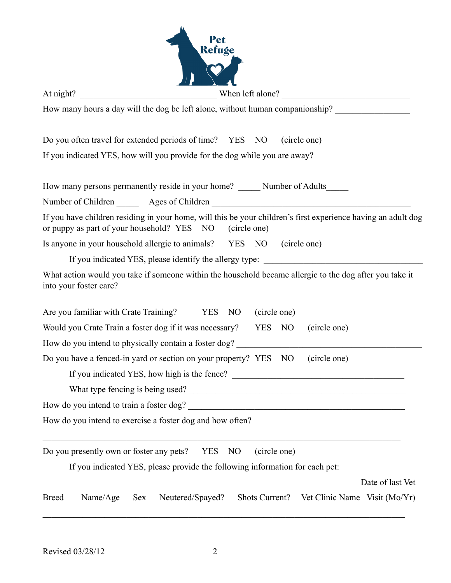| At night? | When left alone?                                                                                                                                                            |
|-----------|-----------------------------------------------------------------------------------------------------------------------------------------------------------------------------|
|           | How many hours a day will the dog be left alone, without human companionship?                                                                                               |
|           | Do you often travel for extended periods of time? YES NO<br>(circle one)                                                                                                    |
|           | If you indicated YES, how will you provide for the dog while you are away?                                                                                                  |
|           | How many persons permanently reside in your home? _______ Number of Adults______                                                                                            |
|           | Number of Children ________ Ages of Children ___________________________________                                                                                            |
|           | If you have children residing in your home, will this be your children's first experience having an adult dog<br>or puppy as part of your household? YES NO<br>(circle one) |
|           | Is anyone in your household allergic to animals? YES NO (circle one)                                                                                                        |
|           | If you indicated YES, please identify the allergy type: ________________________                                                                                            |
|           | What action would you take if someone within the household became allergic to the dog after you take it<br>into your foster care?                                           |
|           | Are you familiar with Crate Training? YES NO<br>(circle one)                                                                                                                |
|           | Would you Crate Train a foster dog if it was necessary? YES NO<br>(circle one)                                                                                              |
|           | How do you intend to physically contain a foster dog? ___________________________                                                                                           |
|           | Do you have a fenced-in yard or section on your property? YES NO (circle one)                                                                                               |
|           |                                                                                                                                                                             |
|           |                                                                                                                                                                             |
|           | How do you intend to train a foster dog?                                                                                                                                    |
|           | How do you intend to exercise a foster dog and how often?                                                                                                                   |
|           | <u> 1989 - Johann Stoff, amerikansk politiker (d. 1989)</u><br>Do you presently own or foster any pets? YES NO<br>(circle one)                                              |
|           | If you indicated YES, please provide the following information for each pet:                                                                                                |
|           |                                                                                                                                                                             |
|           | Date of last Vet                                                                                                                                                            |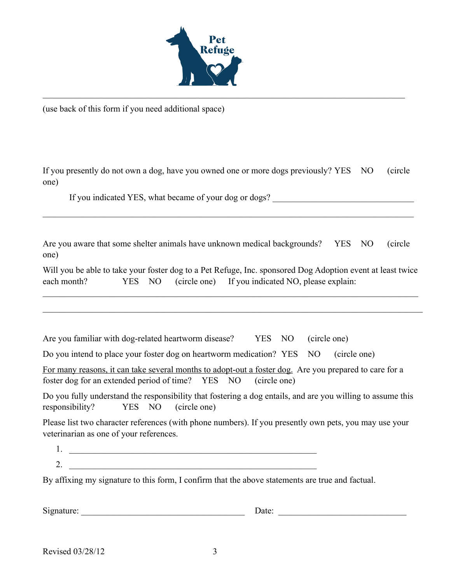

(use back of this form if you need additional space)

If you presently do not own a dog, have you owned one or more dogs previously? YES NO (circle one)

 $\_$  , and the contribution of the contribution of the contribution of the contribution of  $\mathcal{L}_\mathcal{A}$ 

If you indicated YES, what became of your dog or dogs?

Are you aware that some shelter animals have unknown medical backgrounds? YES NO (circle one)

 $\_$  , and the contribution of the contribution of the contribution of the contribution of  $\mathcal{L}_\text{max}$ 

|             |        |  | Will you be able to take your foster dog to a Pet Refuge, Inc. sponsored Dog Adoption event at least twice |
|-------------|--------|--|------------------------------------------------------------------------------------------------------------|
| each month? | YES NO |  | (circle one) If you indicated NO, please explain:                                                          |

 $\_$  , and the contribution of the contribution of the contribution of the contribution of  $\mathcal{L}_\text{max}$ 

 $\_$  , and the set of the set of the set of the set of the set of the set of the set of the set of the set of the set of the set of the set of the set of the set of the set of the set of the set of the set of the set of th

Are you familiar with dog-related heartworm disease? YES NO (circle one)

Do you intend to place your foster dog on heartworm medication? YES NO (circle one)

| For many reasons, it can take several months to adopt-out a foster dog. Are you prepared to care for a |  |  |  |
|--------------------------------------------------------------------------------------------------------|--|--|--|
| foster dog for an extended period of time? YES NO (circle one)                                         |  |  |  |

Do you fully understand the responsibility that fostering a dog entails, and are you willing to assume this responsibility? YES NO (circle one)

Please list two character references (with phone numbers). If you presently own pets, you may use your veterinarian as one of your references.

- 1. \_\_\_\_\_\_\_\_\_\_\_\_\_\_\_\_\_\_\_\_\_\_\_\_\_\_\_\_\_\_\_\_\_\_\_\_\_\_\_\_\_\_\_\_\_\_\_\_\_\_\_\_\_\_\_\_
- $2.$

By affixing my signature to this form, I confirm that the above statements are true and factual.

Signature: \_\_\_\_\_\_\_\_\_\_\_\_\_\_\_\_\_\_\_\_\_\_\_\_\_\_\_\_\_\_\_\_\_\_\_\_\_ Date: \_\_\_\_\_\_\_\_\_\_\_\_\_\_\_\_\_\_\_\_\_\_\_\_\_\_\_\_\_